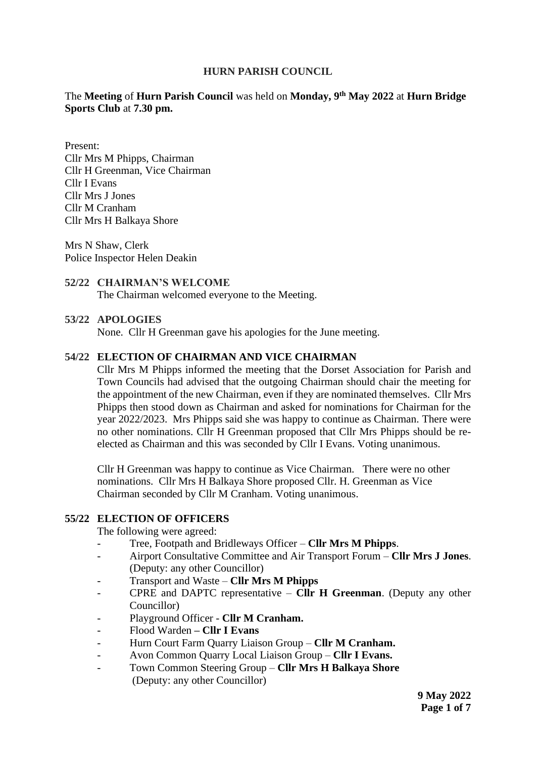## **HURN PARISH COUNCIL**

The **Meeting** of **Hurn Parish Council** was held on **Monday, 9 th May 2022** at **Hurn Bridge Sports Club** at **7.30 pm.** 

Present: Cllr Mrs M Phipps, Chairman Cllr H Greenman, Vice Chairman Cllr I Evans Cllr Mrs J Jones Cllr M Cranham Cllr Mrs H Balkaya Shore

Mrs N Shaw, Clerk Police Inspector Helen Deakin

## **52/22 CHAIRMAN'S WELCOME**

The Chairman welcomed everyone to the Meeting.

## **53/22 APOLOGIES**

None. Cllr H Greenman gave his apologies for the June meeting.

#### **54/22 ELECTION OF CHAIRMAN AND VICE CHAIRMAN**

Cllr Mrs M Phipps informed the meeting that the Dorset Association for Parish and Town Councils had advised that the outgoing Chairman should chair the meeting for the appointment of the new Chairman, even if they are nominated themselves. Cllr Mrs Phipps then stood down as Chairman and asked for nominations for Chairman for the year 2022/2023. Mrs Phipps said she was happy to continue as Chairman. There were no other nominations. Cllr H Greenman proposed that Cllr Mrs Phipps should be reelected as Chairman and this was seconded by Cllr I Evans. Voting unanimous.

Cllr H Greenman was happy to continue as Vice Chairman. There were no other nominations. Cllr Mrs H Balkaya Shore proposed Cllr. H. Greenman as Vice Chairman seconded by Cllr M Cranham. Voting unanimous.

#### **55/22 ELECTION OF OFFICERS**

The following were agreed:

- Tree, Footpath and Bridleways Officer **Cllr Mrs M Phipps**.
- Airport Consultative Committee and Air Transport Forum **Cllr Mrs J Jones**. (Deputy: any other Councillor)
- Transport and Waste **Cllr Mrs M Phipps**
- CPRE and DAPTC representative **Cllr H Greenman**. (Deputy any other Councillor)
- Playground Officer **Cllr M Cranham.**
- Flood Warden **– Cllr I Evans**
- Hurn Court Farm Quarry Liaison Group **Cllr M Cranham.**
- Avon Common Quarry Local Liaison Group **Cllr I Evans.**
- Town Common Steering Group **Cllr Mrs H Balkaya Shore** (Deputy: any other Councillor)

**9 May 2022 Page 1 of 7**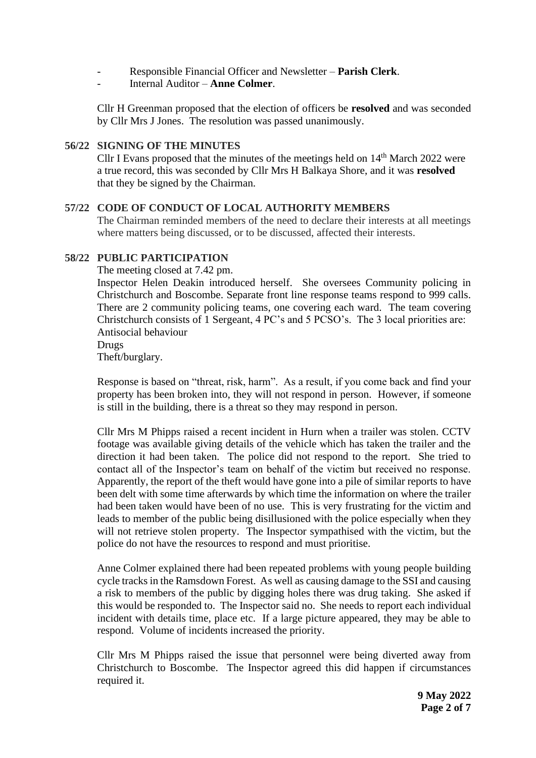- Responsible Financial Officer and Newsletter **Parish Clerk**.
- Internal Auditor **Anne Colmer**.

Cllr H Greenman proposed that the election of officers be **resolved** and was seconded by Cllr Mrs J Jones. The resolution was passed unanimously.

## **56/22 SIGNING OF THE MINUTES**

Cllr I Evans proposed that the minutes of the meetings held on  $14<sup>th</sup>$  March 2022 were a true record, this was seconded by Cllr Mrs H Balkaya Shore, and it was **resolved** that they be signed by the Chairman.

## **57/22 CODE OF CONDUCT OF LOCAL AUTHORITY MEMBERS**

The Chairman reminded members of the need to declare their interests at all meetings where matters being discussed, or to be discussed, affected their interests.

## **58/22 PUBLIC PARTICIPATION**

The meeting closed at 7.42 pm.

Inspector Helen Deakin introduced herself. She oversees Community policing in Christchurch and Boscombe. Separate front line response teams respond to 999 calls. There are 2 community policing teams, one covering each ward. The team covering Christchurch consists of 1 Sergeant, 4 PC's and 5 PCSO's. The 3 local priorities are: Antisocial behaviour Drugs

Theft/burglary.

Response is based on "threat, risk, harm". As a result, if you come back and find your property has been broken into, they will not respond in person. However, if someone is still in the building, there is a threat so they may respond in person.

Cllr Mrs M Phipps raised a recent incident in Hurn when a trailer was stolen. CCTV footage was available giving details of the vehicle which has taken the trailer and the direction it had been taken. The police did not respond to the report. She tried to contact all of the Inspector's team on behalf of the victim but received no response. Apparently, the report of the theft would have gone into a pile of similar reports to have been delt with some time afterwards by which time the information on where the trailer had been taken would have been of no use. This is very frustrating for the victim and leads to member of the public being disillusioned with the police especially when they will not retrieve stolen property. The Inspector sympathised with the victim, but the police do not have the resources to respond and must prioritise.

Anne Colmer explained there had been repeated problems with young people building cycle tracks in the Ramsdown Forest. As well as causing damage to the SSI and causing a risk to members of the public by digging holes there was drug taking. She asked if this would be responded to. The Inspector said no. She needs to report each individual incident with details time, place etc. If a large picture appeared, they may be able to respond. Volume of incidents increased the priority.

Cllr Mrs M Phipps raised the issue that personnel were being diverted away from Christchurch to Boscombe. The Inspector agreed this did happen if circumstances required it.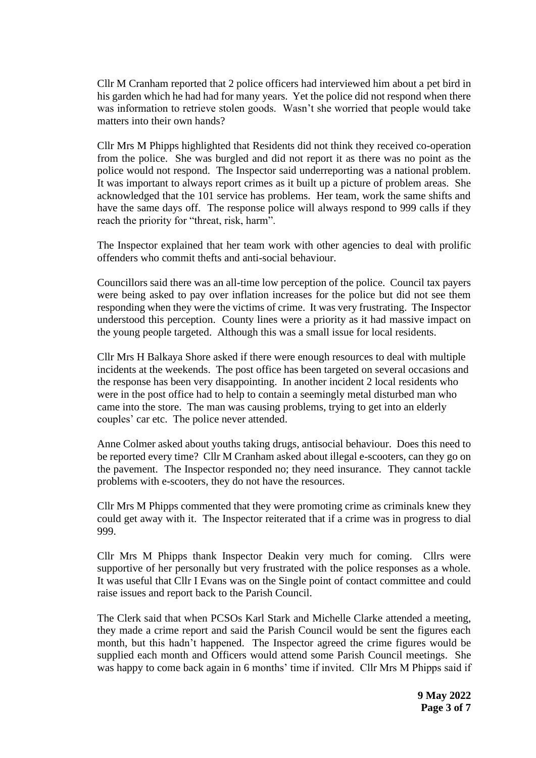Cllr M Cranham reported that 2 police officers had interviewed him about a pet bird in his garden which he had had for many years. Yet the police did not respond when there was information to retrieve stolen goods. Wasn't she worried that people would take matters into their own hands?

Cllr Mrs M Phipps highlighted that Residents did not think they received co-operation from the police. She was burgled and did not report it as there was no point as the police would not respond. The Inspector said underreporting was a national problem. It was important to always report crimes as it built up a picture of problem areas. She acknowledged that the 101 service has problems. Her team, work the same shifts and have the same days off. The response police will always respond to 999 calls if they reach the priority for "threat, risk, harm".

The Inspector explained that her team work with other agencies to deal with prolific offenders who commit thefts and anti-social behaviour.

Councillors said there was an all-time low perception of the police. Council tax payers were being asked to pay over inflation increases for the police but did not see them responding when they were the victims of crime. It was very frustrating. The Inspector understood this perception. County lines were a priority as it had massive impact on the young people targeted. Although this was a small issue for local residents.

Cllr Mrs H Balkaya Shore asked if there were enough resources to deal with multiple incidents at the weekends. The post office has been targeted on several occasions and the response has been very disappointing. In another incident 2 local residents who were in the post office had to help to contain a seemingly metal disturbed man who came into the store. The man was causing problems, trying to get into an elderly couples' car etc. The police never attended.

Anne Colmer asked about youths taking drugs, antisocial behaviour. Does this need to be reported every time? Cllr M Cranham asked about illegal e-scooters, can they go on the pavement. The Inspector responded no; they need insurance. They cannot tackle problems with e-scooters, they do not have the resources.

Cllr Mrs M Phipps commented that they were promoting crime as criminals knew they could get away with it. The Inspector reiterated that if a crime was in progress to dial 999.

Cllr Mrs M Phipps thank Inspector Deakin very much for coming. Cllrs were supportive of her personally but very frustrated with the police responses as a whole. It was useful that Cllr I Evans was on the Single point of contact committee and could raise issues and report back to the Parish Council.

The Clerk said that when PCSOs Karl Stark and Michelle Clarke attended a meeting, they made a crime report and said the Parish Council would be sent the figures each month, but this hadn't happened. The Inspector agreed the crime figures would be supplied each month and Officers would attend some Parish Council meetings. She was happy to come back again in 6 months' time if invited. Cllr Mrs M Phipps said if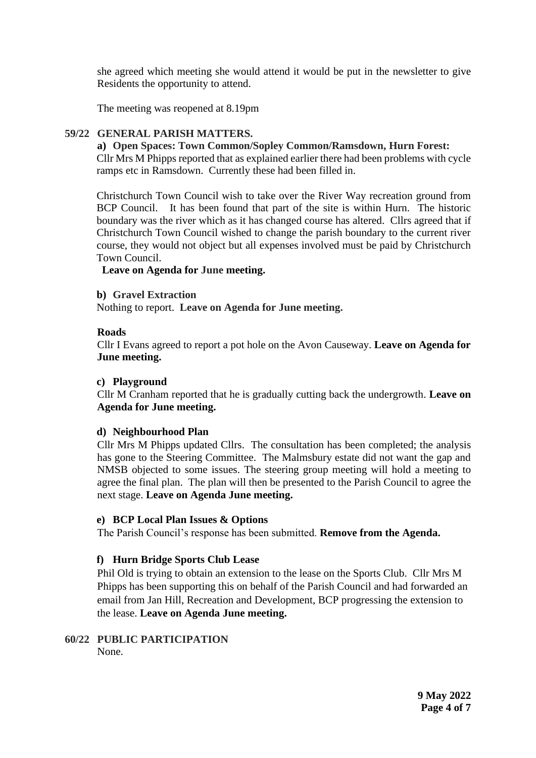she agreed which meeting she would attend it would be put in the newsletter to give Residents the opportunity to attend.

The meeting was reopened at 8.19pm

#### **59/22 GENERAL PARISH MATTERS.**

#### **a) Open Spaces: Town Common/Sopley Common/Ramsdown, Hurn Forest:**

Cllr Mrs M Phipps reported that as explained earlier there had been problems with cycle ramps etc in Ramsdown. Currently these had been filled in.

Christchurch Town Council wish to take over the River Way recreation ground from BCP Council. It has been found that part of the site is within Hurn. The historic boundary was the river which as it has changed course has altered. Cllrs agreed that if Christchurch Town Council wished to change the parish boundary to the current river course, they would not object but all expenses involved must be paid by Christchurch Town Council.

## **Leave on Agenda for June meeting.**

#### **b) Gravel Extraction**

Nothing to report. **Leave on Agenda for June meeting.**

#### **Roads**

Cllr I Evans agreed to report a pot hole on the Avon Causeway. **Leave on Agenda for June meeting.** 

#### **c) Playground**

Cllr M Cranham reported that he is gradually cutting back the undergrowth. **Leave on Agenda for June meeting.** 

#### **d) Neighbourhood Plan**

Cllr Mrs M Phipps updated Cllrs. The consultation has been completed; the analysis has gone to the Steering Committee. The Malmsbury estate did not want the gap and NMSB objected to some issues. The steering group meeting will hold a meeting to agree the final plan. The plan will then be presented to the Parish Council to agree the next stage. **Leave on Agenda June meeting.** 

#### **e) BCP Local Plan Issues & Options**

The Parish Council's response has been submitted. **Remove from the Agenda.** 

## **f) Hurn Bridge Sports Club Lease**

Phil Old is trying to obtain an extension to the lease on the Sports Club. Cllr Mrs M Phipps has been supporting this on behalf of the Parish Council and had forwarded an email from Jan Hill, Recreation and Development, BCP progressing the extension to the lease. **Leave on Agenda June meeting.**

# **60/22 PUBLIC PARTICIPATION** None.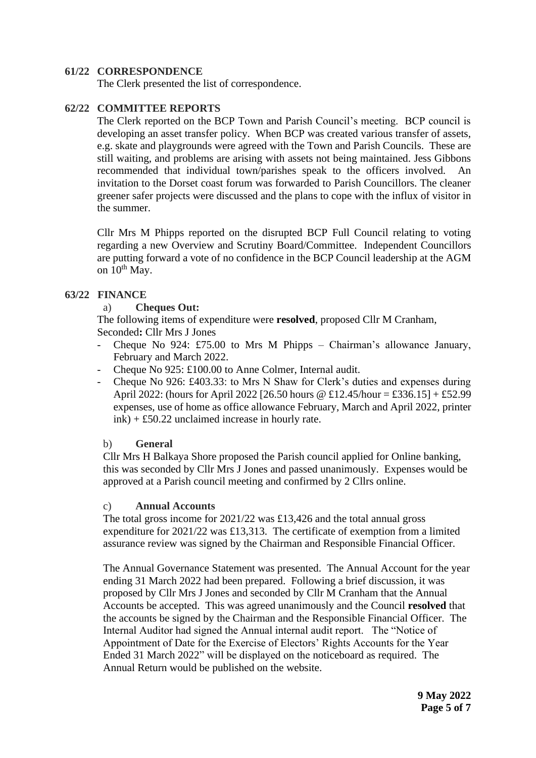## **61/22 CORRESPONDENCE**

The Clerk presented the list of correspondence.

## **62/22 COMMITTEE REPORTS**

The Clerk reported on the BCP Town and Parish Council's meeting. BCP council is developing an asset transfer policy. When BCP was created various transfer of assets, e.g. skate and playgrounds were agreed with the Town and Parish Councils. These are still waiting, and problems are arising with assets not being maintained. Jess Gibbons recommended that individual town/parishes speak to the officers involved. An invitation to the Dorset coast forum was forwarded to Parish Councillors. The cleaner greener safer projects were discussed and the plans to cope with the influx of visitor in the summer.

Cllr Mrs M Phipps reported on the disrupted BCP Full Council relating to voting regarding a new Overview and Scrutiny Board/Committee. Independent Councillors are putting forward a vote of no confidence in the BCP Council leadership at the AGM on  $10^{th}$  May.

#### **63/22 FINANCE**

## a) **Cheques Out:**

The following items of expenditure were **resolved**, proposed Cllr M Cranham, Seconded**:** Cllr Mrs J Jones

- Cheque No 924: £75.00 to Mrs M Phipps Chairman's allowance January, February and March 2022.
- Cheque No 925: £100.00 to Anne Colmer, Internal audit.
- Cheque No 926: £403.33: to Mrs N Shaw for Clerk's duties and expenses during April 2022: (hours for April 2022 [26.50 hours @ £12.45/hour = £336.15] + £52.99 expenses, use of home as office allowance February, March and April 2022, printer ink) + £50.22 unclaimed increase in hourly rate.

#### b) **General**

Cllr Mrs H Balkaya Shore proposed the Parish council applied for Online banking, this was seconded by Cllr Mrs J Jones and passed unanimously. Expenses would be approved at a Parish council meeting and confirmed by 2 Cllrs online.

#### c) **Annual Accounts**

The total gross income for 2021/22 was £13,426 and the total annual gross expenditure for 2021/22 was £13,313. The certificate of exemption from a limited assurance review was signed by the Chairman and Responsible Financial Officer.

The Annual Governance Statement was presented. The Annual Account for the year ending 31 March 2022 had been prepared. Following a brief discussion, it was proposed by Cllr Mrs J Jones and seconded by Cllr M Cranham that the Annual Accounts be accepted. This was agreed unanimously and the Council **resolved** that the accounts be signed by the Chairman and the Responsible Financial Officer. The Internal Auditor had signed the Annual internal audit report. The "Notice of Appointment of Date for the Exercise of Electors' Rights Accounts for the Year Ended 31 March 2022" will be displayed on the noticeboard as required. The Annual Return would be published on the website.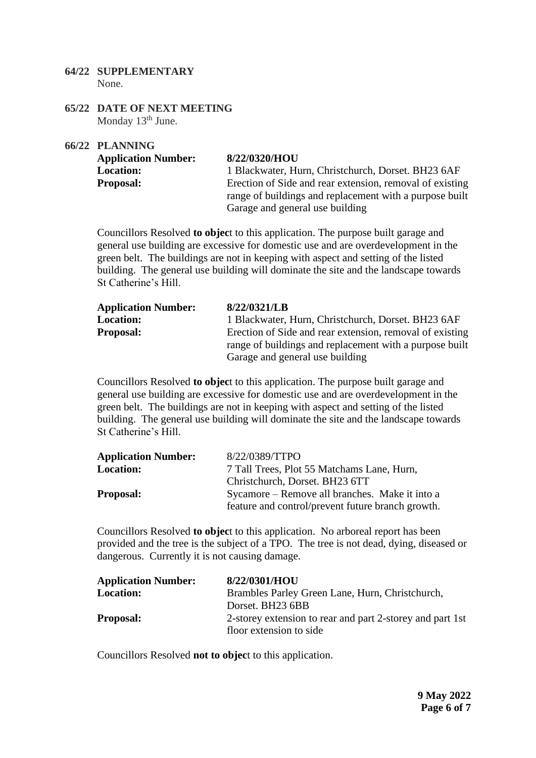- **64/22 SUPPLEMENTARY** None.
- **65/22 DATE OF NEXT MEETING** Monday 13<sup>th</sup> June.

**66/22 PLANNING**

| <b>Application Number:</b> | 8/22/0320/HOU                                            |
|----------------------------|----------------------------------------------------------|
| <b>Location:</b>           | 1 Blackwater, Hurn, Christchurch, Dorset. BH23 6AF       |
| <b>Proposal:</b>           | Erection of Side and rear extension, removal of existing |
|                            | range of buildings and replacement with a purpose built  |
|                            | Garage and general use building                          |

Councillors Resolved **to objec**t to this application. The purpose built garage and general use building are excessive for domestic use and are overdevelopment in the green belt. The buildings are not in keeping with aspect and setting of the listed building. The general use building will dominate the site and the landscape towards St Catherine's Hill.

| <b>Application Number:</b> | 8/22/0321/LB                                             |
|----------------------------|----------------------------------------------------------|
| <b>Location:</b>           | 1 Blackwater, Hurn, Christchurch, Dorset. BH23 6AF       |
| <b>Proposal:</b>           | Erection of Side and rear extension, removal of existing |
|                            | range of buildings and replacement with a purpose built  |
|                            | Garage and general use building                          |

Councillors Resolved **to objec**t to this application. The purpose built garage and general use building are excessive for domestic use and are overdevelopment in the green belt. The buildings are not in keeping with aspect and setting of the listed building. The general use building will dominate the site and the landscape towards St Catherine's Hill.

| <b>Application Number:</b> | 8/22/0389/TTPO                                    |
|----------------------------|---------------------------------------------------|
| <b>Location:</b>           | 7 Tall Trees, Plot 55 Matchams Lane, Hurn,        |
|                            | Christchurch, Dorset. BH23 6TT                    |
| <b>Proposal:</b>           | Sycamore – Remove all branches. Make it into a    |
|                            | feature and control/prevent future branch growth. |

Councillors Resolved **to objec**t to this application. No arboreal report has been provided and the tree is the subject of a TPO. The tree is not dead, dying, diseased or dangerous. Currently it is not causing damage.

| <b>Application Number:</b> | 8/22/0301/HOU                                             |
|----------------------------|-----------------------------------------------------------|
| <b>Location:</b>           | Brambles Parley Green Lane, Hurn, Christchurch,           |
|                            | Dorset. BH23 6BB                                          |
| <b>Proposal:</b>           | 2-storey extension to rear and part 2-storey and part 1st |
|                            | floor extension to side                                   |

Councillors Resolved **not to objec**t to this application.